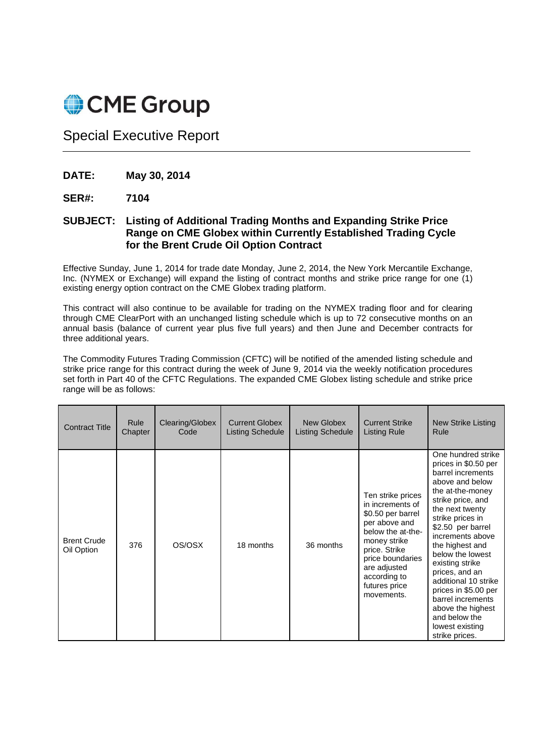

Special Executive Report

- **DATE: May 30, 2014**
- **SER#: 7104**

## **SUBJECT: Listing of Additional Trading Months and Expanding Strike Price Range on CME Globex within Currently Established Trading Cycle for the Brent Crude Oil Option Contract**

Effective Sunday, June 1, 2014 for trade date Monday, June 2, 2014, the New York Mercantile Exchange, Inc. (NYMEX or Exchange) will expand the listing of contract months and strike price range for one (1) existing energy option contract on the CME Globex trading platform.

This contract will also continue to be available for trading on the NYMEX trading floor and for clearing through CME ClearPort with an unchanged listing schedule which is up to 72 consecutive months on an annual basis (balance of current year plus five full years) and then June and December contracts for three additional years.

The Commodity Futures Trading Commission (CFTC) will be notified of the amended listing schedule and strike price range for this contract during the week of June 9, 2014 via the weekly notification procedures set forth in Part 40 of the CFTC Regulations. The expanded CME Globex listing schedule and strike price range will be as follows:

| <b>Contract Title</b>            | Rule    | Clearing/Globex | <b>Current Globex</b>   | New Globex              | <b>Current Strike</b>                                                                                                                                                                                                | <b>New Strike Listing</b>                                                                                                                                                                                                                                                                                                                                                                                                               |
|----------------------------------|---------|-----------------|-------------------------|-------------------------|----------------------------------------------------------------------------------------------------------------------------------------------------------------------------------------------------------------------|-----------------------------------------------------------------------------------------------------------------------------------------------------------------------------------------------------------------------------------------------------------------------------------------------------------------------------------------------------------------------------------------------------------------------------------------|
|                                  | Chapter | Code            | <b>Listing Schedule</b> | <b>Listing Schedule</b> | <b>Listing Rule</b>                                                                                                                                                                                                  | Rule                                                                                                                                                                                                                                                                                                                                                                                                                                    |
| <b>Brent Crude</b><br>Oil Option | 376     | OS/OSX          | 18 months               | 36 months               | Ten strike prices<br>in increments of<br>\$0.50 per barrel<br>per above and<br>below the at-the-<br>money strike<br>price. Strike<br>price boundaries<br>are adjusted<br>according to<br>futures price<br>movements. | One hundred strike<br>prices in \$0.50 per<br>barrel increments<br>above and below<br>the at-the-money<br>strike price, and<br>the next twenty<br>strike prices in<br>\$2.50 per barrel<br>increments above<br>the highest and<br>below the lowest<br>existing strike<br>prices, and an<br>additional 10 strike<br>prices in \$5.00 per<br>barrel increments<br>above the highest<br>and below the<br>lowest existing<br>strike prices. |